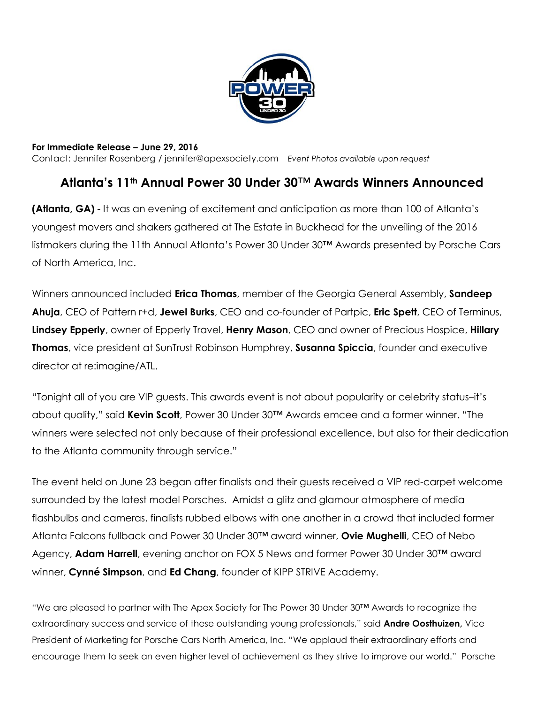

**For Immediate Release – June 29, 2016** Contact: Jennifer Rosenberg / jennifer@apexsociety.com *Event Photos available upon request*

# **Atlanta's 11th Annual Power 30 Under 30**™ **Awards Winners Announced**

**(Atlanta, GA)** - It was an evening of excitement and anticipation as more than 100 of Atlanta's youngest movers and shakers gathered at The Estate in Buckhead for the unveiling of the 2016 listmakers during the 11th Annual Atlanta's Power 30 Under 30™ Awards presented by Porsche Cars of North America, Inc.

Winners announced included **Erica Thomas**, member of the Georgia General Assembly, **Sandeep Ahuja**, CEO of Pattern r+d, **Jewel Burks**, CEO and co-founder of Partpic, **Eric Spett**, CEO of Terminus, **Lindsey Epperly**, owner of Epperly Travel, **Henry Mason**, CEO and owner of Precious Hospice, **Hillary Thomas**, vice president at SunTrust Robinson Humphrey, **Susanna Spiccia**, founder and executive director at re:imagine/ATL.

"Tonight all of you are VIP guests. This awards event is not about popularity or celebrity status–it's about quality," said **Kevin Scott**, Power 30 Under 30™ Awards emcee and a former winner. "The winners were selected not only because of their professional excellence, but also for their dedication to the Atlanta community through service."

The event held on June 23 began after finalists and their guests received a VIP red-carpet welcome surrounded by the latest model Porsches. Amidst a glitz and glamour atmosphere of media flashbulbs and cameras, finalists rubbed elbows with one another in a crowd that included former Atlanta Falcons fullback and Power 30 Under 30™ award winner, **Ovie Mughelli**, CEO of Nebo Agency, **Adam Harrell**, evening anchor on FOX 5 News and former Power 30 Under 30™ award winner, **Cynné Simpson**, and **Ed Chang**, founder of KIPP STRIVE Academy.

"We are pleased to partner with The Apex Society for The Power 30 Under 30™ Awards to recognize the extraordinary success and service of these outstanding young professionals," said **Andre Oosthuizen,** Vice President of Marketing for Porsche Cars North America, Inc. "We applaud their extraordinary efforts and encourage them to seek an even higher level of achievement as they strive to improve our world." Porsche